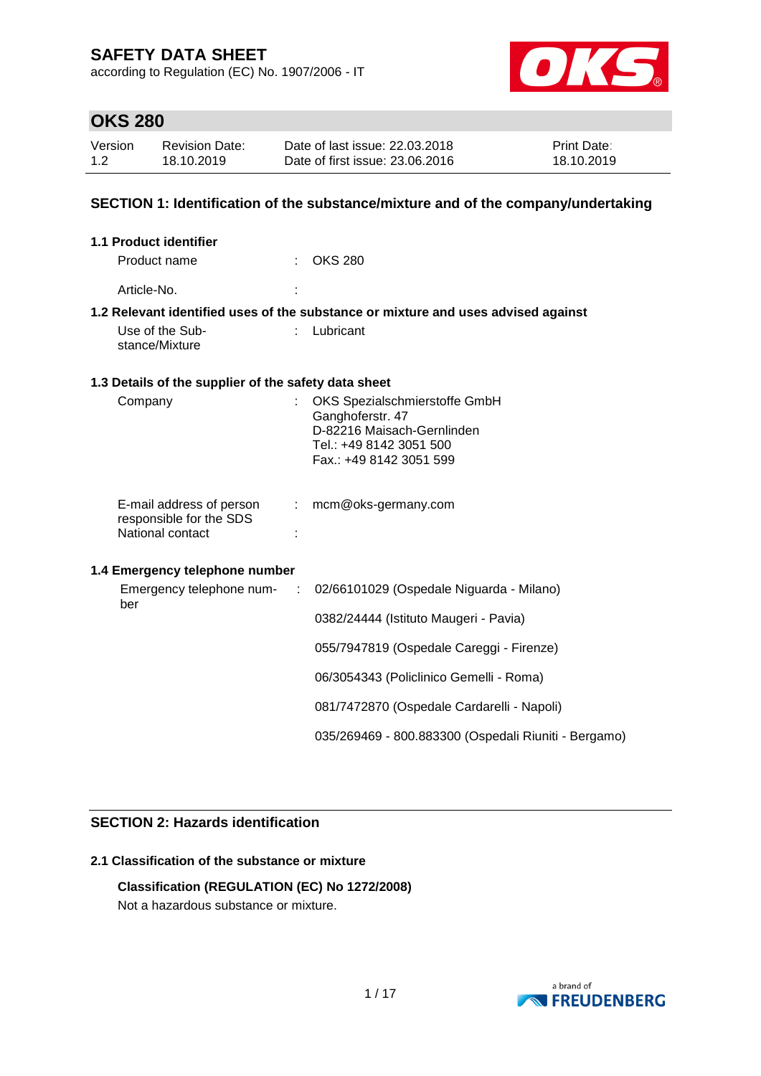according to Regulation (EC) No. 1907/2006 - IT



## **OKS 280**

| Version | Revision Date: | Date of last issue: 22.03.2018  | <b>Print Date:</b> |
|---------|----------------|---------------------------------|--------------------|
| 1.2     | 18.10.2019     | Date of first issue: 23,06,2016 | 18.10.2019         |

### **SECTION 1: Identification of the substance/mixture and of the company/undertaking**

| <b>1.1 Product identifier</b>                        |                               |                                                                                   |  |  |  |
|------------------------------------------------------|-------------------------------|-----------------------------------------------------------------------------------|--|--|--|
| Product name                                         |                               | <b>OKS 280</b>                                                                    |  |  |  |
| Article-No.                                          |                               |                                                                                   |  |  |  |
|                                                      |                               | 1.2 Relevant identified uses of the substance or mixture and uses advised against |  |  |  |
| Use of the Sub-<br>stance/Mixture                    |                               | Lubricant                                                                         |  |  |  |
| 1.3 Details of the supplier of the safety data sheet |                               |                                                                                   |  |  |  |
| Company                                              |                               | OKS Spezialschmierstoffe GmbH                                                     |  |  |  |
|                                                      |                               | Ganghoferstr. 47<br>D-82216 Maisach-Gernlinden                                    |  |  |  |
|                                                      |                               | Tel.: +49 8142 3051 500                                                           |  |  |  |
|                                                      |                               | Fax.: +49 8142 3051 599                                                           |  |  |  |
|                                                      |                               |                                                                                   |  |  |  |
| E-mail address of person                             | $\mathcal{L}^{\mathcal{L}}$ . | mcm@oks-germany.com                                                               |  |  |  |
| responsible for the SDS<br>National contact          |                               |                                                                                   |  |  |  |
|                                                      |                               |                                                                                   |  |  |  |
| 1.4 Emergency telephone number                       |                               |                                                                                   |  |  |  |
| Emergency telephone num-<br>ber                      |                               | 02/66101029 (Ospedale Niguarda - Milano)                                          |  |  |  |
|                                                      |                               | 0382/24444 (Istituto Maugeri - Pavia)                                             |  |  |  |
|                                                      |                               | 055/7947819 (Ospedale Careggi - Firenze)                                          |  |  |  |
|                                                      |                               | 06/3054343 (Policlinico Gemelli - Roma)                                           |  |  |  |
|                                                      |                               | 081/7472870 (Ospedale Cardarelli - Napoli)                                        |  |  |  |
|                                                      |                               | 035/269469 - 800.883300 (Ospedali Riuniti - Bergamo)                              |  |  |  |

## **SECTION 2: Hazards identification**

## **2.1 Classification of the substance or mixture**

### **Classification (REGULATION (EC) No 1272/2008)**

Not a hazardous substance or mixture.

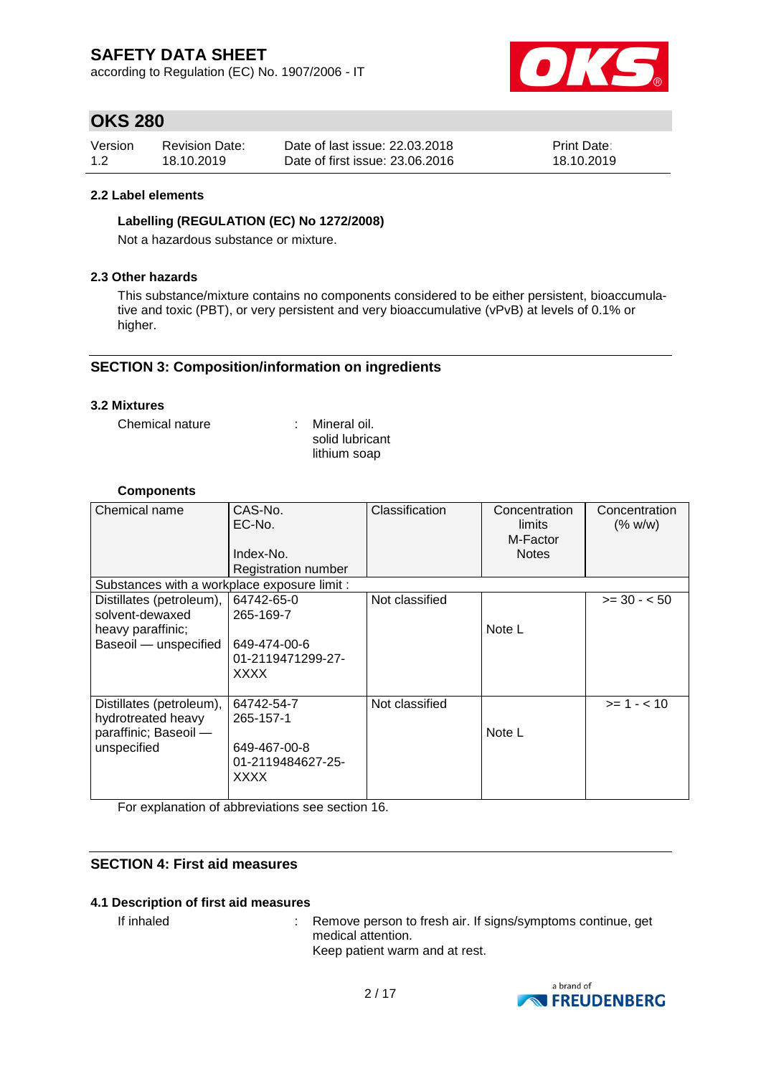according to Regulation (EC) No. 1907/2006 - IT



# **OKS 280**

| Version | <b>Revision Date:</b> | Date of last issue: 22.03.2018  | <b>Print Date:</b> |
|---------|-----------------------|---------------------------------|--------------------|
| 1.2     | 18.10.2019            | Date of first issue: 23,06,2016 | 18.10.2019         |

### **2.2 Label elements**

### **Labelling (REGULATION (EC) No 1272/2008)**

Not a hazardous substance or mixture.

### **2.3 Other hazards**

This substance/mixture contains no components considered to be either persistent, bioaccumulative and toxic (PBT), or very persistent and very bioaccumulative (vPvB) at levels of 0.1% or higher.

### **SECTION 3: Composition/information on ingredients**

### **3.2 Mixtures**

Chemical nature : Mineral oil.

solid lubricant lithium soap

### **Components**

| Chemical name                                                                             | CAS-No.<br>EC-No.<br>Index-No.<br><b>Registration number</b>                | Classification | Concentration<br>limits<br>M-Factor<br><b>Notes</b> | Concentration<br>(% w/w) |
|-------------------------------------------------------------------------------------------|-----------------------------------------------------------------------------|----------------|-----------------------------------------------------|--------------------------|
| Substances with a workplace exposure limit :                                              |                                                                             |                |                                                     |                          |
| Distillates (petroleum),<br>solvent-dewaxed<br>heavy paraffinic;<br>Baseoil - unspecified | 64742-65-0<br>265-169-7<br>649-474-00-6<br>01-2119471299-27-<br><b>XXXX</b> | Not classified | Note L                                              | $>= 30 - 50$             |
| Distillates (petroleum),<br>hydrotreated heavy<br>paraffinic; Baseoil -<br>unspecified    | 64742-54-7<br>265-157-1<br>649-467-00-8<br>01-2119484627-25-<br>XXXX        | Not classified | Note L                                              | $>= 1 - < 10$            |

For explanation of abbreviations see section 16.

### **SECTION 4: First aid measures**

### **4.1 Description of first aid measures**

If inhaled : Remove person to fresh air. If signs/symptoms continue, get medical attention. Keep patient warm and at rest.

> a brand of **NO FREUDENBERG**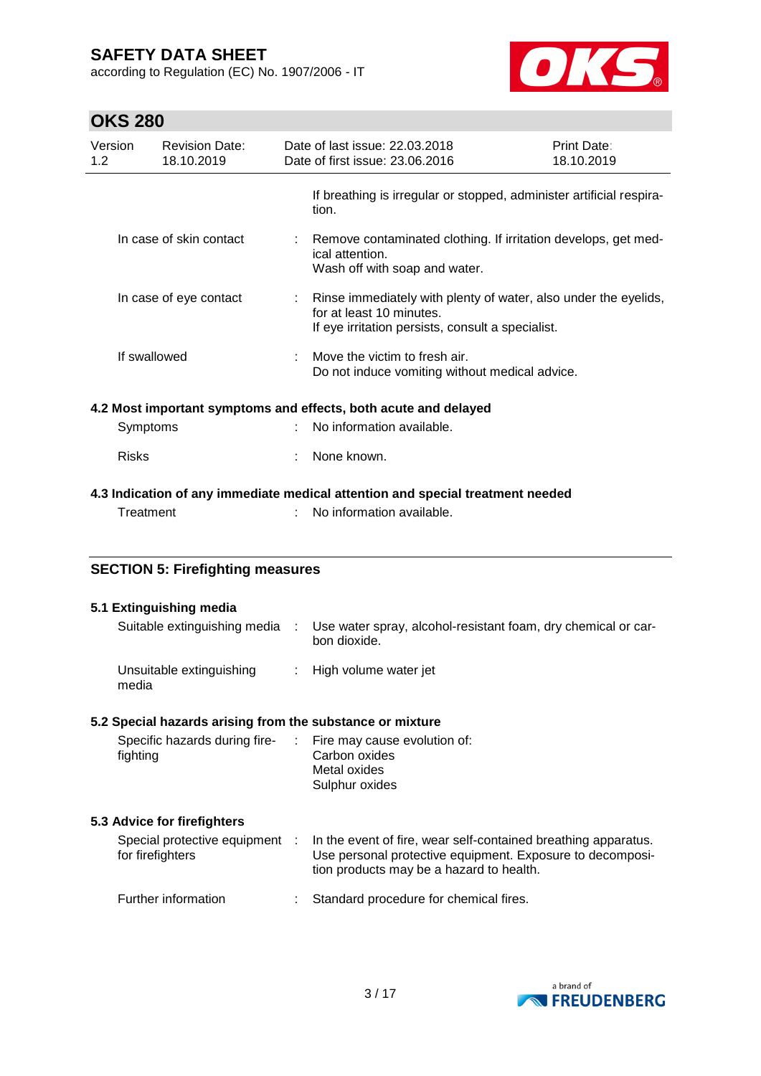according to Regulation (EC) No. 1907/2006 - IT



# **OKS 280**

|                         | UNJ ZOU      |                                                    |                                                                                                                    |                                                                                                                                                                         |                                                                                                                      |  |  |
|-------------------------|--------------|----------------------------------------------------|--------------------------------------------------------------------------------------------------------------------|-------------------------------------------------------------------------------------------------------------------------------------------------------------------------|----------------------------------------------------------------------------------------------------------------------|--|--|
| Version<br>1.2          |              | <b>Revision Date:</b><br>18.10.2019                |                                                                                                                    | Date of last issue: 22.03.2018<br>Date of first issue: 23.06.2016                                                                                                       | Print Date:<br>18.10.2019                                                                                            |  |  |
|                         |              |                                                    |                                                                                                                    | If breathing is irregular or stopped, administer artificial respira-<br>tion.                                                                                           |                                                                                                                      |  |  |
| In case of skin contact |              |                                                    | Remove contaminated clothing. If irritation develops, get med-<br>ical attention.<br>Wash off with soap and water. |                                                                                                                                                                         |                                                                                                                      |  |  |
|                         |              | In case of eye contact                             |                                                                                                                    | for at least 10 minutes.                                                                                                                                                | Rinse immediately with plenty of water, also under the eyelids,<br>If eye irritation persists, consult a specialist. |  |  |
|                         | If swallowed |                                                    |                                                                                                                    | Move the victim to fresh air.<br>Do not induce vomiting without medical advice.                                                                                         |                                                                                                                      |  |  |
|                         |              |                                                    |                                                                                                                    | 4.2 Most important symptoms and effects, both acute and delayed                                                                                                         |                                                                                                                      |  |  |
|                         | Symptoms     |                                                    |                                                                                                                    | No information available.                                                                                                                                               |                                                                                                                      |  |  |
|                         | <b>Risks</b> |                                                    |                                                                                                                    | None known.                                                                                                                                                             |                                                                                                                      |  |  |
|                         | Treatment    |                                                    |                                                                                                                    | 4.3 Indication of any immediate medical attention and special treatment needed<br>No information available.                                                             |                                                                                                                      |  |  |
|                         |              | <b>SECTION 5: Firefighting measures</b>            |                                                                                                                    |                                                                                                                                                                         |                                                                                                                      |  |  |
|                         |              | 5.1 Extinguishing media                            |                                                                                                                    |                                                                                                                                                                         |                                                                                                                      |  |  |
|                         |              | Suitable extinguishing media                       | ÷                                                                                                                  | Use water spray, alcohol-resistant foam, dry chemical or car-<br>bon dioxide.                                                                                           |                                                                                                                      |  |  |
|                         | media        | Unsuitable extinguishing                           |                                                                                                                    | High volume water jet                                                                                                                                                   |                                                                                                                      |  |  |
|                         |              |                                                    |                                                                                                                    | 5.2 Special hazards arising from the substance or mixture                                                                                                               |                                                                                                                      |  |  |
|                         | fighting     | Specific hazards during fire-                      |                                                                                                                    | Fire may cause evolution of:<br>Carbon oxides<br>Metal oxides<br>Sulphur oxides                                                                                         |                                                                                                                      |  |  |
|                         |              | 5.3 Advice for firefighters                        |                                                                                                                    |                                                                                                                                                                         |                                                                                                                      |  |  |
|                         |              | Special protective equipment :<br>for firefighters |                                                                                                                    | In the event of fire, wear self-contained breathing apparatus.<br>Use personal protective equipment. Exposure to decomposi-<br>tion products may be a hazard to health. |                                                                                                                      |  |  |
|                         |              | Further information                                |                                                                                                                    | Standard procedure for chemical fires.                                                                                                                                  |                                                                                                                      |  |  |

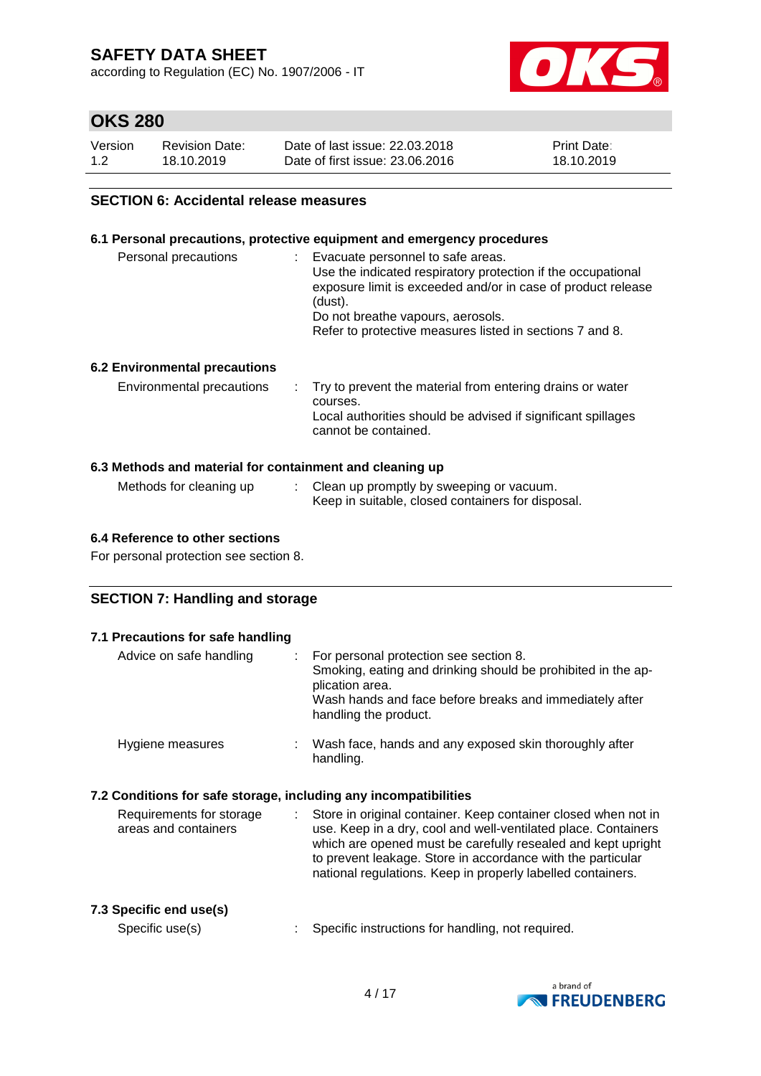according to Regulation (EC) No. 1907/2006 - IT



# **OKS 280**

| Version | <b>Revision Date:</b> | Date of last issue: 22,03,2018  | <b>Print Date:</b> |
|---------|-----------------------|---------------------------------|--------------------|
| 1.2     | 18.10.2019            | Date of first issue: 23,06,2016 | 18.10.2019         |

### **SECTION 6: Accidental release measures**

### **6.1 Personal precautions, protective equipment and emergency procedures**

| Personal precautions          | Evacuate personnel to safe areas.<br>Use the indicated respiratory protection if the occupational<br>exposure limit is exceeded and/or in case of product release<br>(dust).<br>Do not breathe vapours, aerosols.<br>Refer to protective measures listed in sections 7 and 8. |
|-------------------------------|-------------------------------------------------------------------------------------------------------------------------------------------------------------------------------------------------------------------------------------------------------------------------------|
| 6.2 Environmental precautions |                                                                                                                                                                                                                                                                               |

| Environmental precautions | $\therefore$ Try to prevent the material from entering drains or water<br>courses.<br>Local authorities should be advised if significant spillages<br>cannot be contained. |
|---------------------------|----------------------------------------------------------------------------------------------------------------------------------------------------------------------------|
|                           |                                                                                                                                                                            |

### **6.3 Methods and material for containment and cleaning up**

| Methods for cleaning up | Clean up promptly by sweeping or vacuum.          |
|-------------------------|---------------------------------------------------|
|                         | Keep in suitable, closed containers for disposal. |

### **6.4 Reference to other sections**

For personal protection see section 8.

### **SECTION 7: Handling and storage**

| 7.1 Precautions for safe handling                                |    |                                                                                                                                                                                                                                                                                                                                |
|------------------------------------------------------------------|----|--------------------------------------------------------------------------------------------------------------------------------------------------------------------------------------------------------------------------------------------------------------------------------------------------------------------------------|
| Advice on safe handling                                          |    | For personal protection see section 8.<br>Smoking, eating and drinking should be prohibited in the ap-<br>plication area.<br>Wash hands and face before breaks and immediately after<br>handling the product.                                                                                                                  |
| Hygiene measures                                                 |    | Wash face, hands and any exposed skin thoroughly after<br>handling.                                                                                                                                                                                                                                                            |
| 7.2 Conditions for safe storage, including any incompatibilities |    |                                                                                                                                                                                                                                                                                                                                |
| Requirements for storage<br>areas and containers                 | t. | Store in original container. Keep container closed when not in<br>use. Keep in a dry, cool and well-ventilated place. Containers<br>which are opened must be carefully resealed and kept upright<br>to prevent leakage. Store in accordance with the particular<br>national regulations. Keep in properly labelled containers. |
| 7.3 Specific end use(s)<br>Specific use(s)                       |    | Specific instructions for handling, not required.                                                                                                                                                                                                                                                                              |

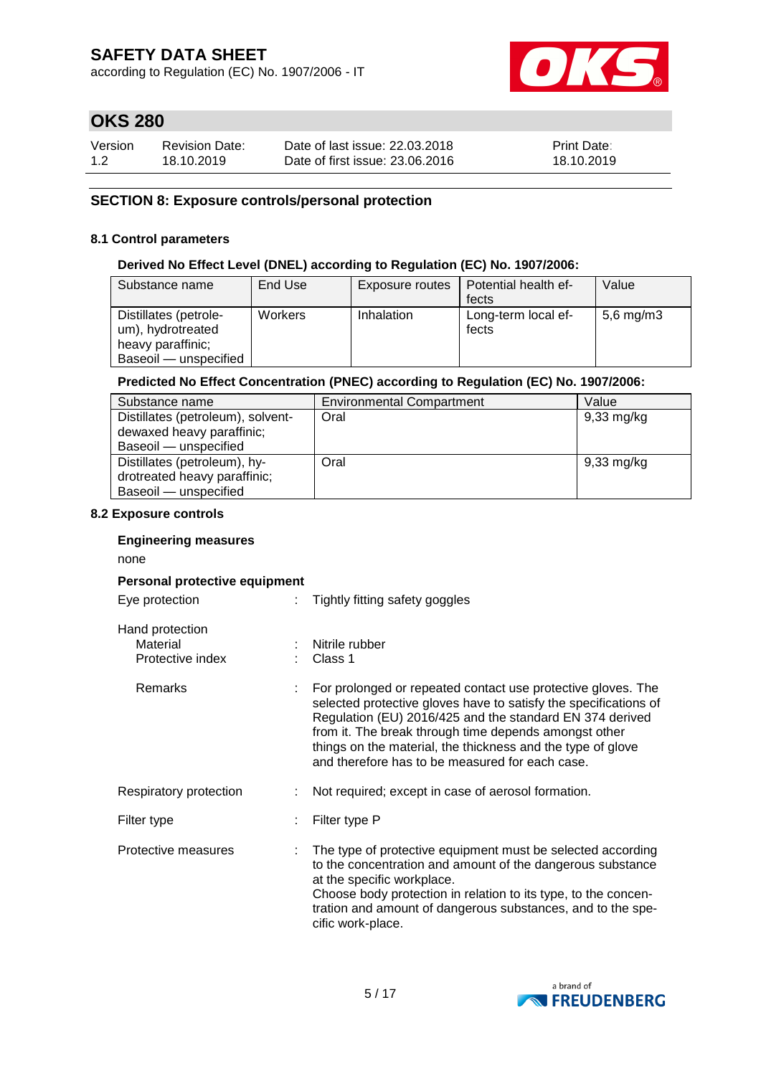according to Regulation (EC) No. 1907/2006 - IT



# **OKS 280**

| Version | <b>Revision Date:</b> | Date of last issue: 22,03,2018  | <b>Print Date:</b> |
|---------|-----------------------|---------------------------------|--------------------|
| 1.2     | 18.10.2019            | Date of first issue: 23,06,2016 | 18.10.2019         |

### **SECTION 8: Exposure controls/personal protection**

### **8.1 Control parameters**

### **Derived No Effect Level (DNEL) according to Regulation (EC) No. 1907/2006:**

| Substance name                                                                           | End Use        | Exposure routes | Potential health ef-         | Value          |
|------------------------------------------------------------------------------------------|----------------|-----------------|------------------------------|----------------|
|                                                                                          |                |                 | fects                        |                |
| Distillates (petrole-<br>um), hydrotreated<br>heavy paraffinic;<br>Baseoil — unspecified | <b>Workers</b> | Inhalation      | Long-term local ef-<br>fects | $5,6$ mg/m $3$ |

### **Predicted No Effect Concentration (PNEC) according to Regulation (EC) No. 1907/2006:**

| Substance name                    | <b>Environmental Compartment</b> | Value                |
|-----------------------------------|----------------------------------|----------------------|
| Distillates (petroleum), solvent- | Oral                             | $9,33 \text{ mg/kg}$ |
| dewaxed heavy paraffinic;         |                                  |                      |
| Baseoil - unspecified             |                                  |                      |
| Distillates (petroleum), hy-      | Oral                             | $9,33 \text{ mg/kg}$ |
| drotreated heavy paraffinic;      |                                  |                      |
| Baseoil - unspecified             |                                  |                      |

### **8.2 Exposure controls**

#### **Engineering measures**

none

### **Personal protective equipment**

| Eye protection |  |
|----------------|--|
|----------------|--|

: Tightly fitting safety goggles

| Hand protection<br>Material<br>Protective index | : Nitrile rubber<br>Class 1                                                                                                                                                                                                                                                                                                                                             |
|-------------------------------------------------|-------------------------------------------------------------------------------------------------------------------------------------------------------------------------------------------------------------------------------------------------------------------------------------------------------------------------------------------------------------------------|
| Remarks                                         | For prolonged or repeated contact use protective gloves. The<br>selected protective gloves have to satisfy the specifications of<br>Regulation (EU) 2016/425 and the standard EN 374 derived<br>from it. The break through time depends amongst other<br>things on the material, the thickness and the type of glove<br>and therefore has to be measured for each case. |
| Respiratory protection                          | Not required; except in case of aerosol formation.                                                                                                                                                                                                                                                                                                                      |
| Filter type                                     | Filter type P                                                                                                                                                                                                                                                                                                                                                           |
| Protective measures                             | The type of protective equipment must be selected according<br>to the concentration and amount of the dangerous substance<br>at the specific workplace.<br>Choose body protection in relation to its type, to the concen-<br>tration and amount of dangerous substances, and to the spe-<br>cific work-place.                                                           |

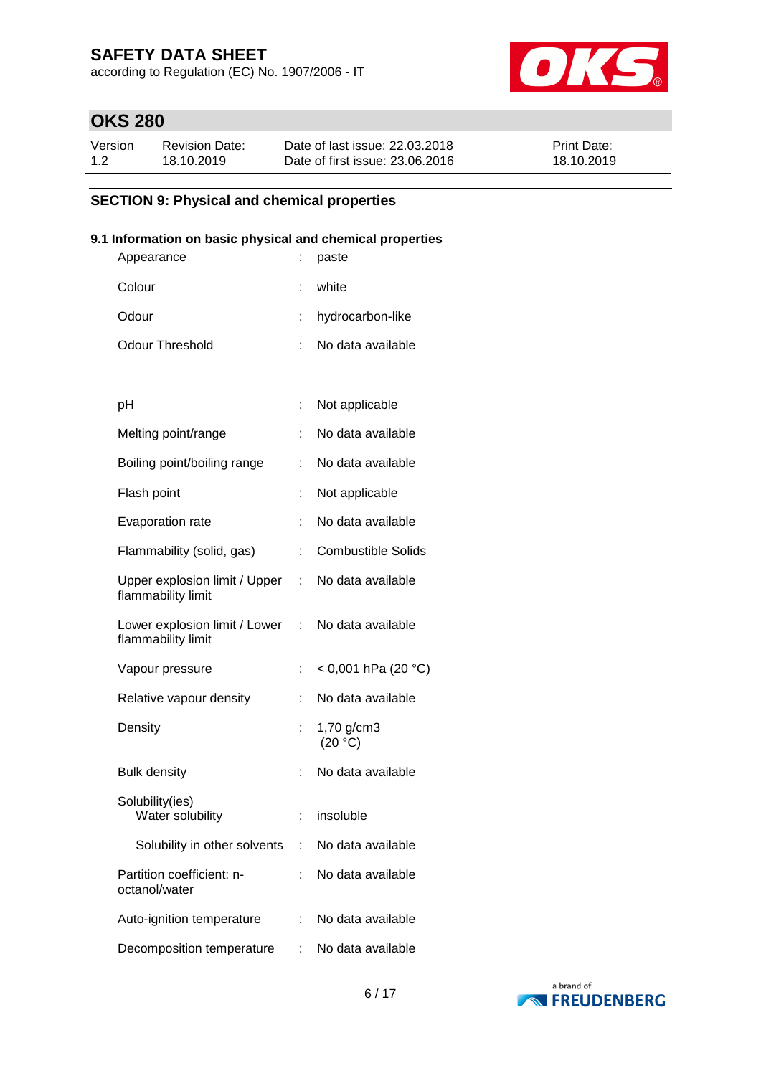according to Regulation (EC) No. 1907/2006 - IT



# **OKS 280**

| Version | Revision Date: | Date of last issue: 22.03.2018  | <b>Print Date:</b> |
|---------|----------------|---------------------------------|--------------------|
| 1.2     | 18.10.2019     | Date of first issue: 23.06.2016 | 18.10.2019         |

## **SECTION 9: Physical and chemical properties**

### **9.1 Information on basic physical and chemical properties**

| Appearance                                          |                           | paste                     |
|-----------------------------------------------------|---------------------------|---------------------------|
| Colour                                              |                           | white                     |
| Odour                                               |                           | hydrocarbon-like          |
| <b>Odour Threshold</b>                              |                           | No data available         |
|                                                     |                           |                           |
| рH                                                  | ÷                         | Not applicable            |
| Melting point/range                                 |                           | No data available         |
| Boiling point/boiling range                         |                           | No data available         |
| Flash point                                         | ÷                         | Not applicable            |
| Evaporation rate                                    | t                         | No data available         |
| Flammability (solid, gas)                           | t.                        | <b>Combustible Solids</b> |
| Upper explosion limit / Upper<br>flammability limit | ÷.                        | No data available         |
| Lower explosion limit / Lower<br>flammability limit | $\mathbb{Z}^{\mathbb{Z}}$ | No data available         |
| Vapour pressure                                     | ÷                         | < 0,001 hPa (20 °C)       |
| Relative vapour density                             |                           | No data available         |
| Density                                             |                           | 1,70 g/cm3<br>(20 °C)     |
| <b>Bulk density</b>                                 | t                         | No data available         |
| Solubility(ies)<br>Water solubility                 | t.                        | insoluble                 |
| Solubility in other solvents                        | ÷.                        | No data available         |
| Partition coefficient: n-<br>octanol/water          |                           | No data available         |
| Auto-ignition temperature                           |                           | No data available         |
| Decomposition temperature                           |                           | No data available         |

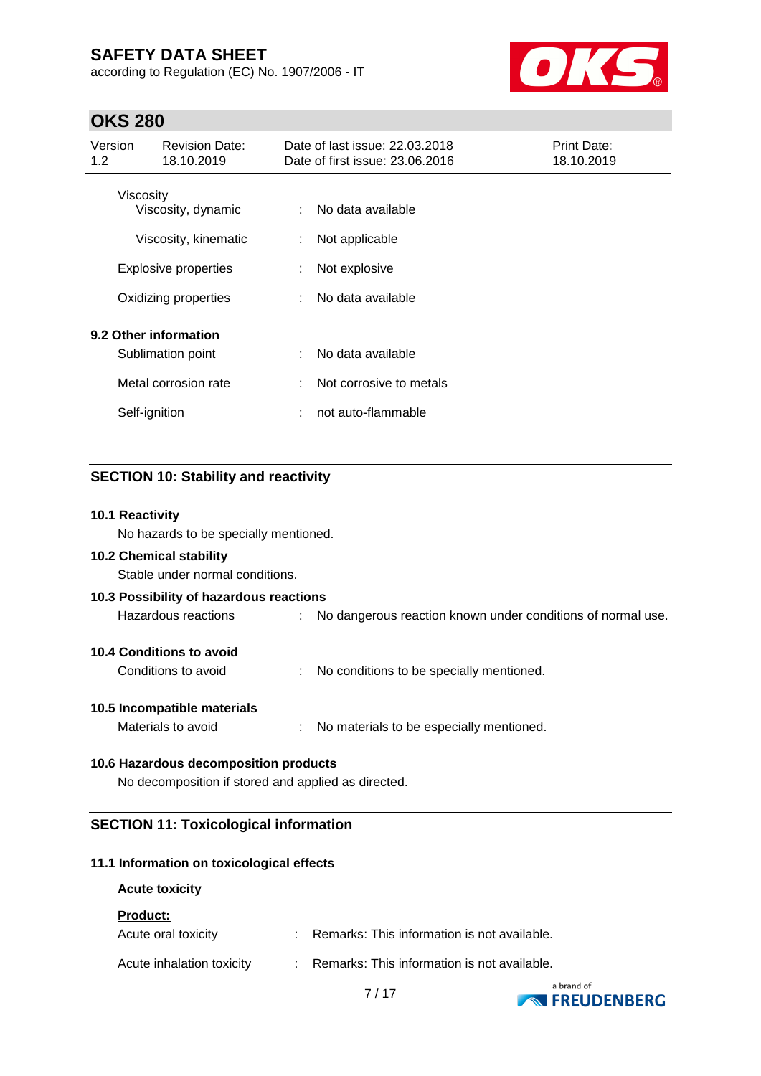according to Regulation (EC) No. 1907/2006 - IT



# **OKS 280**

| Version<br>1.2 <sub>2</sub> | <b>Revision Date:</b><br>18.10.2019        |   | Date of last issue: 22.03.2018<br>Date of first issue: 23.06.2016 | Print Date:<br>18.10.2019 |
|-----------------------------|--------------------------------------------|---|-------------------------------------------------------------------|---------------------------|
|                             | Viscosity<br>Viscosity, dynamic            |   | No data available                                                 |                           |
|                             | Viscosity, kinematic                       | ÷ | Not applicable                                                    |                           |
|                             | <b>Explosive properties</b>                | ÷ | Not explosive                                                     |                           |
|                             | Oxidizing properties                       |   | No data available                                                 |                           |
|                             | 9.2 Other information<br>Sublimation point |   | No data available                                                 |                           |
|                             | Metal corrosion rate                       | ÷ | Not corrosive to metals                                           |                           |
|                             | Self-ignition                              | ÷ | not auto-flammable                                                |                           |

### **SECTION 10: Stability and reactivity**

### **10.1 Reactivity**

No hazards to be specially mentioned.

### **10.2 Chemical stability**

Stable under normal conditions.

| 10.3 Possibility of hazardous reactions |                                                               |
|-----------------------------------------|---------------------------------------------------------------|
| Hazardous reactions                     | : No dangerous reaction known under conditions of normal use. |
| <b>10.4 Conditions to avoid</b>         |                                                               |
| Conditions to avoid                     | : No conditions to be specially mentioned.                    |
| 10.5 Incompatible materials             |                                                               |

Materials to avoid **in the Communist Communist Communist Communist Communist Communist Communist Communist Communist Communist Communist Communist Communist Communist Communist Communist Communist Communist Communist Commu** 

### **10.6 Hazardous decomposition products**

No decomposition if stored and applied as directed.

### **SECTION 11: Toxicological information**

### **11.1 Information on toxicological effects**

#### **Acute toxicity**

**Product:**

| Acute oral toxicity       | Remarks: This information is not available.      |
|---------------------------|--------------------------------------------------|
| Acute inhalation toxicity | Remarks: This information is not available.<br>. |

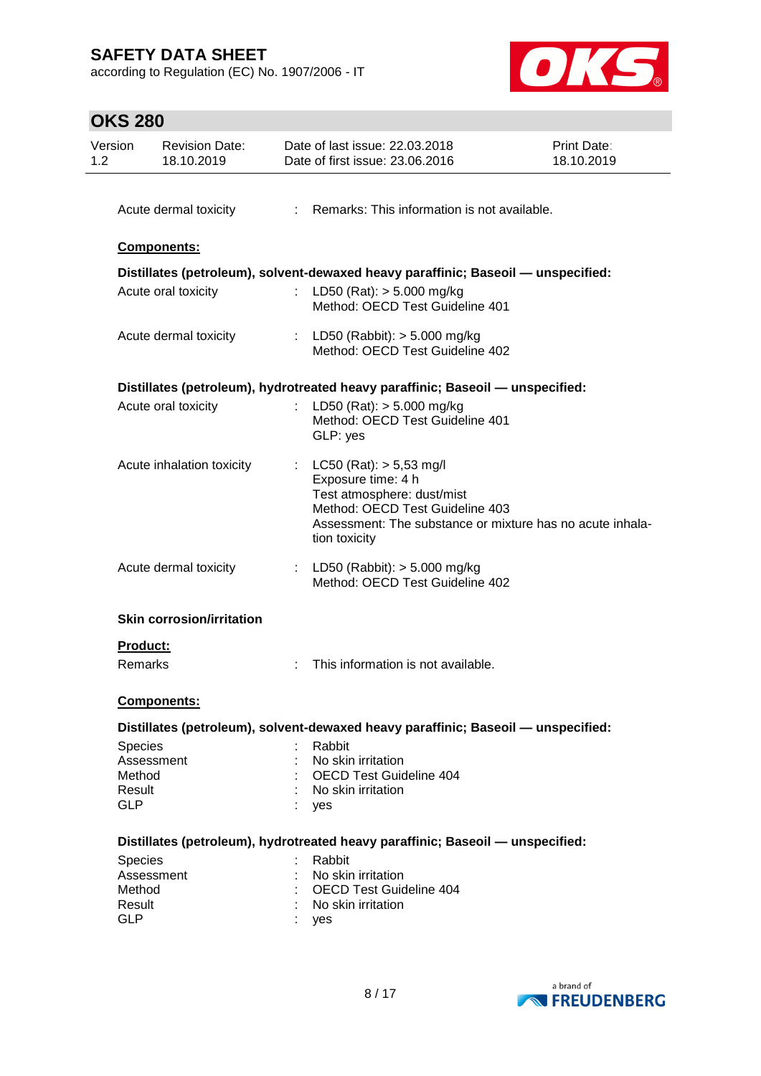according to Regulation (EC) No. 1907/2006 - IT



# **OKS 280**

| : Remarks: This information is not available.<br>Distillates (petroleum), solvent-dewaxed heavy paraffinic; Baseoil - unspecified:<br>: LD50 (Rat): $>$ 5.000 mg/kg<br>Method: OECD Test Guideline 401<br>: LD50 (Rabbit): $>$ 5.000 mg/kg<br>Method: OECD Test Guideline 402<br>Distillates (petroleum), hydrotreated heavy paraffinic; Baseoil — unspecified:<br>: LD50 (Rat): $>$ 5.000 mg/kg<br>Method: OECD Test Guideline 401<br>GLP: yes<br>: $LC50 (Rat) : > 5,53 mg/l$<br>Exposure time: 4 h<br>Test atmosphere: dust/mist<br>Method: OECD Test Guideline 403<br>Assessment: The substance or mixture has no acute inhala-<br>tion toxicity<br>: LD50 (Rabbit): $> 5.000$ mg/kg<br>Method: OECD Test Guideline 402 |
|-----------------------------------------------------------------------------------------------------------------------------------------------------------------------------------------------------------------------------------------------------------------------------------------------------------------------------------------------------------------------------------------------------------------------------------------------------------------------------------------------------------------------------------------------------------------------------------------------------------------------------------------------------------------------------------------------------------------------------|
|                                                                                                                                                                                                                                                                                                                                                                                                                                                                                                                                                                                                                                                                                                                             |
|                                                                                                                                                                                                                                                                                                                                                                                                                                                                                                                                                                                                                                                                                                                             |
|                                                                                                                                                                                                                                                                                                                                                                                                                                                                                                                                                                                                                                                                                                                             |
|                                                                                                                                                                                                                                                                                                                                                                                                                                                                                                                                                                                                                                                                                                                             |
|                                                                                                                                                                                                                                                                                                                                                                                                                                                                                                                                                                                                                                                                                                                             |
|                                                                                                                                                                                                                                                                                                                                                                                                                                                                                                                                                                                                                                                                                                                             |
|                                                                                                                                                                                                                                                                                                                                                                                                                                                                                                                                                                                                                                                                                                                             |
|                                                                                                                                                                                                                                                                                                                                                                                                                                                                                                                                                                                                                                                                                                                             |
|                                                                                                                                                                                                                                                                                                                                                                                                                                                                                                                                                                                                                                                                                                                             |
|                                                                                                                                                                                                                                                                                                                                                                                                                                                                                                                                                                                                                                                                                                                             |
|                                                                                                                                                                                                                                                                                                                                                                                                                                                                                                                                                                                                                                                                                                                             |
|                                                                                                                                                                                                                                                                                                                                                                                                                                                                                                                                                                                                                                                                                                                             |
| This information is not available.                                                                                                                                                                                                                                                                                                                                                                                                                                                                                                                                                                                                                                                                                          |
|                                                                                                                                                                                                                                                                                                                                                                                                                                                                                                                                                                                                                                                                                                                             |
| Distillates (petroleum), solvent-dewaxed heavy paraffinic; Baseoil - unspecified:                                                                                                                                                                                                                                                                                                                                                                                                                                                                                                                                                                                                                                           |
| Rabbit                                                                                                                                                                                                                                                                                                                                                                                                                                                                                                                                                                                                                                                                                                                      |
| No skin irritation                                                                                                                                                                                                                                                                                                                                                                                                                                                                                                                                                                                                                                                                                                          |
| <b>OECD Test Guideline 404</b>                                                                                                                                                                                                                                                                                                                                                                                                                                                                                                                                                                                                                                                                                              |
| No skin irritation<br>yes                                                                                                                                                                                                                                                                                                                                                                                                                                                                                                                                                                                                                                                                                                   |
|                                                                                                                                                                                                                                                                                                                                                                                                                                                                                                                                                                                                                                                                                                                             |

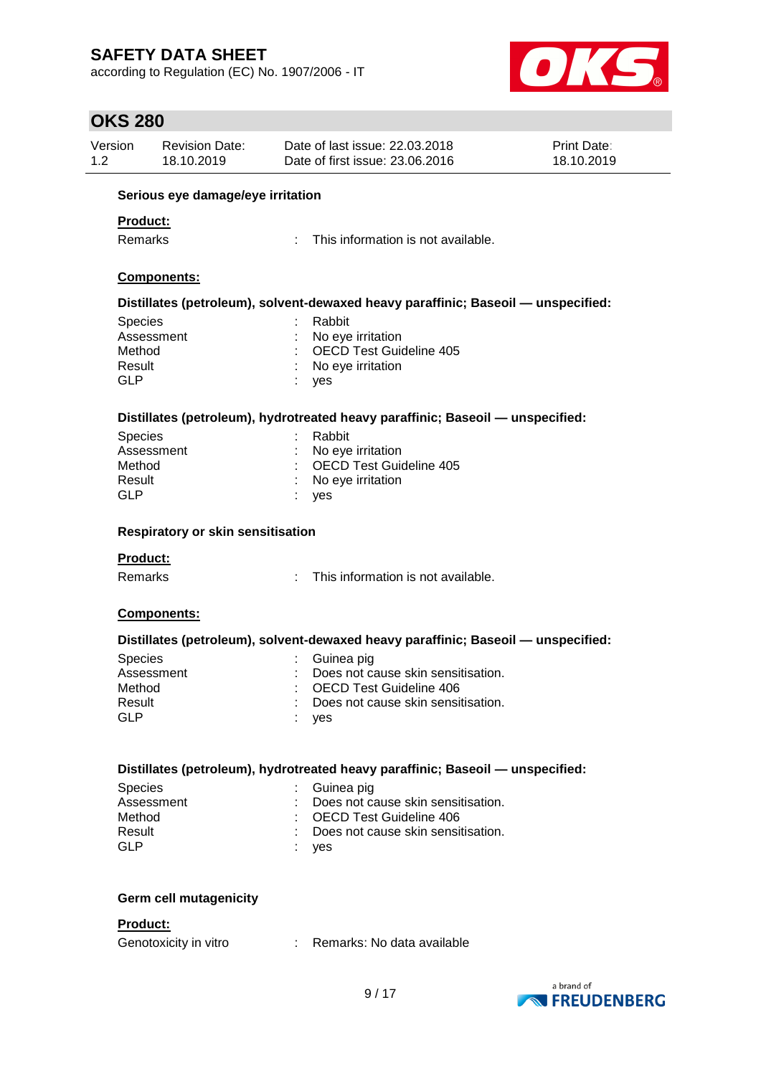according to Regulation (EC) No. 1907/2006 - IT



| <b>OKS 280</b>             |                                          |                                                                   |                                                                                   |                           |  |  |  |
|----------------------------|------------------------------------------|-------------------------------------------------------------------|-----------------------------------------------------------------------------------|---------------------------|--|--|--|
| Version<br>1.2             | <b>Revision Date:</b><br>18.10.2019      | Date of last issue: 22.03.2018<br>Date of first issue: 23.06.2016 |                                                                                   | Print Date:<br>18.10.2019 |  |  |  |
|                            | Serious eye damage/eye irritation        |                                                                   |                                                                                   |                           |  |  |  |
| <b>Product:</b>            |                                          |                                                                   |                                                                                   |                           |  |  |  |
| <b>Remarks</b>             |                                          |                                                                   | This information is not available.                                                |                           |  |  |  |
|                            | Components:                              |                                                                   |                                                                                   |                           |  |  |  |
|                            |                                          |                                                                   | Distillates (petroleum), solvent-dewaxed heavy paraffinic; Baseoil - unspecified: |                           |  |  |  |
| <b>Species</b>             |                                          | Rabbit                                                            |                                                                                   |                           |  |  |  |
|                            | Assessment                               | No eye irritation                                                 |                                                                                   |                           |  |  |  |
| Method                     |                                          |                                                                   | <b>OECD Test Guideline 405</b>                                                    |                           |  |  |  |
| Result<br><b>GLP</b>       |                                          | No eye irritation<br>yes                                          |                                                                                   |                           |  |  |  |
|                            |                                          |                                                                   | Distillates (petroleum), hydrotreated heavy paraffinic; Baseoil - unspecified:    |                           |  |  |  |
| <b>Species</b>             |                                          | Rabbit                                                            |                                                                                   |                           |  |  |  |
|                            | Assessment                               | No eye irritation                                                 |                                                                                   |                           |  |  |  |
| Method                     |                                          |                                                                   | <b>OECD Test Guideline 405</b>                                                    |                           |  |  |  |
| Result                     |                                          | No eye irritation                                                 |                                                                                   |                           |  |  |  |
| <b>GLP</b>                 |                                          | yes                                                               |                                                                                   |                           |  |  |  |
| <b>Product:</b><br>Remarks | <b>Respiratory or skin sensitisation</b> | ÷.                                                                | This information is not available.                                                |                           |  |  |  |
|                            | Components:                              |                                                                   |                                                                                   |                           |  |  |  |
|                            |                                          |                                                                   | Distillates (petroleum), solvent-dewaxed heavy paraffinic; Baseoil - unspecified: |                           |  |  |  |
| <b>Species</b>             |                                          | Guinea pig                                                        |                                                                                   |                           |  |  |  |
|                            | Assessment                               |                                                                   | Does not cause skin sensitisation.                                                |                           |  |  |  |
| Method                     |                                          |                                                                   | <b>OECD Test Guideline 406</b>                                                    |                           |  |  |  |
| Result                     |                                          |                                                                   | Does not cause skin sensitisation.                                                |                           |  |  |  |
| <b>GLP</b>                 |                                          | yes                                                               |                                                                                   |                           |  |  |  |
|                            |                                          |                                                                   |                                                                                   |                           |  |  |  |
|                            |                                          |                                                                   | Distillates (petroleum), hydrotreated heavy paraffinic; Baseoil - unspecified:    |                           |  |  |  |
| <b>Species</b>             |                                          | Guinea pig                                                        |                                                                                   |                           |  |  |  |
|                            | Assessment                               |                                                                   | Does not cause skin sensitisation.<br><b>OECD Test Guideline 406</b>              |                           |  |  |  |
| Method<br>Result           |                                          |                                                                   | Does not cause skin sensitisation.                                                |                           |  |  |  |
| <b>GLP</b>                 |                                          | yes                                                               |                                                                                   |                           |  |  |  |
|                            | <b>Germ cell mutagenicity</b>            |                                                                   |                                                                                   |                           |  |  |  |
| Product:                   |                                          |                                                                   |                                                                                   |                           |  |  |  |
|                            | Genotoxicity in vitro                    |                                                                   | : Remarks: No data available                                                      |                           |  |  |  |
|                            |                                          |                                                                   |                                                                                   |                           |  |  |  |

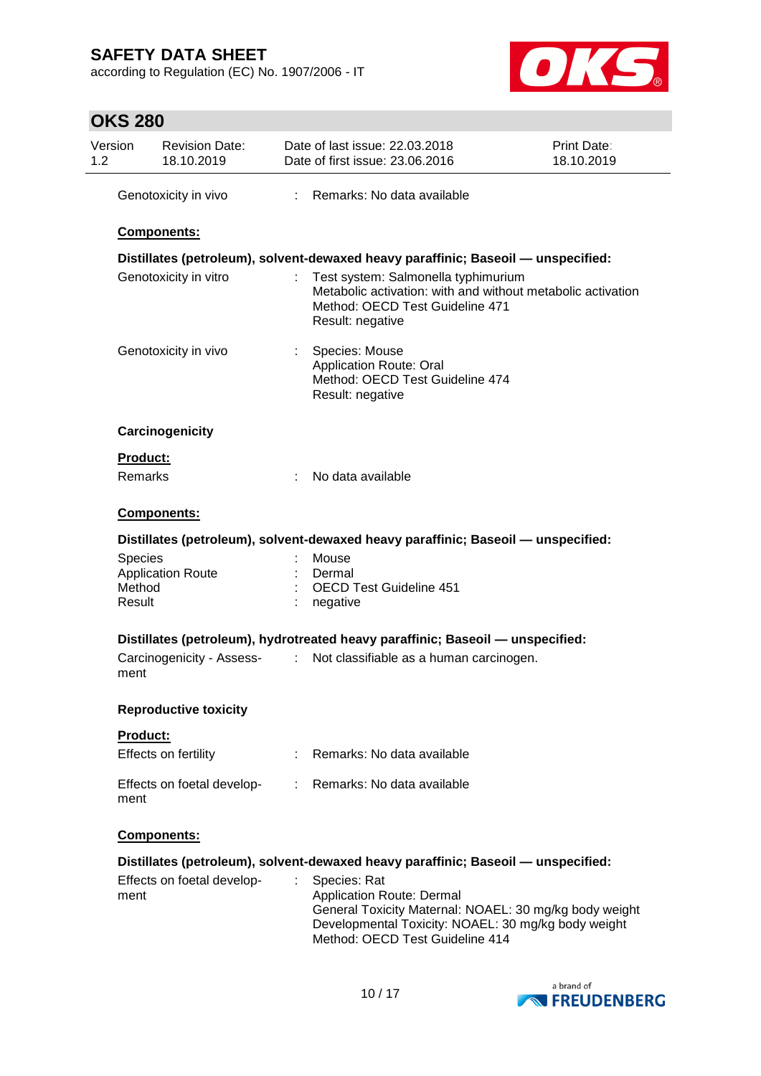according to Regulation (EC) No. 1907/2006 - IT



| <b>OKS 280</b> |  |
|----------------|--|
|----------------|--|

| Version<br>1.2 | <b>Revision Date:</b><br>18.10.2019                            | Date of last issue: 22.03.2018<br>Date of first issue: 23.06.2016                                                                                                                                         | Print Date:<br>18.10.2019 |
|----------------|----------------------------------------------------------------|-----------------------------------------------------------------------------------------------------------------------------------------------------------------------------------------------------------|---------------------------|
|                | Genotoxicity in vivo                                           | : Remarks: No data available                                                                                                                                                                              |                           |
|                | Components:                                                    |                                                                                                                                                                                                           |                           |
|                |                                                                | Distillates (petroleum), solvent-dewaxed heavy paraffinic; Baseoil - unspecified:                                                                                                                         |                           |
|                | Genotoxicity in vitro                                          | Test system: Salmonella typhimurium<br>÷.<br>Metabolic activation: with and without metabolic activation<br>Method: OECD Test Guideline 471<br>Result: negative                                           |                           |
|                | Genotoxicity in vivo                                           | Species: Mouse<br><b>Application Route: Oral</b><br>Method: OECD Test Guideline 474<br>Result: negative                                                                                                   |                           |
|                | Carcinogenicity                                                |                                                                                                                                                                                                           |                           |
|                | <b>Product:</b>                                                |                                                                                                                                                                                                           |                           |
|                | Remarks                                                        | No data available<br>÷                                                                                                                                                                                    |                           |
|                | Components:                                                    |                                                                                                                                                                                                           |                           |
|                |                                                                | Distillates (petroleum), solvent-dewaxed heavy paraffinic; Baseoil - unspecified:                                                                                                                         |                           |
|                | <b>Species</b><br><b>Application Route</b><br>Method<br>Result | Mouse<br>Dermal<br><b>OECD Test Guideline 451</b><br>negative                                                                                                                                             |                           |
|                |                                                                | Distillates (petroleum), hydrotreated heavy paraffinic; Baseoil - unspecified:                                                                                                                            |                           |
|                | Carcinogenicity - Assess-<br>ment                              | $\mathbb{Z}^{\times}$<br>Not classifiable as a human carcinogen.                                                                                                                                          |                           |
|                | <b>Reproductive toxicity</b>                                   |                                                                                                                                                                                                           |                           |
|                | <b>Product:</b>                                                |                                                                                                                                                                                                           |                           |
|                | Effects on fertility                                           | Remarks: No data available                                                                                                                                                                                |                           |
|                | Effects on foetal develop-<br>ment                             | : Remarks: No data available                                                                                                                                                                              |                           |
|                | Components:                                                    |                                                                                                                                                                                                           |                           |
|                |                                                                | Distillates (petroleum), solvent-dewaxed heavy paraffinic; Baseoil - unspecified:                                                                                                                         |                           |
|                | Effects on foetal develop-<br>ment                             | Species: Rat<br>÷<br><b>Application Route: Dermal</b><br>General Toxicity Maternal: NOAEL: 30 mg/kg body weight<br>Developmental Toxicity: NOAEL: 30 mg/kg body weight<br>Method: OECD Test Guideline 414 |                           |

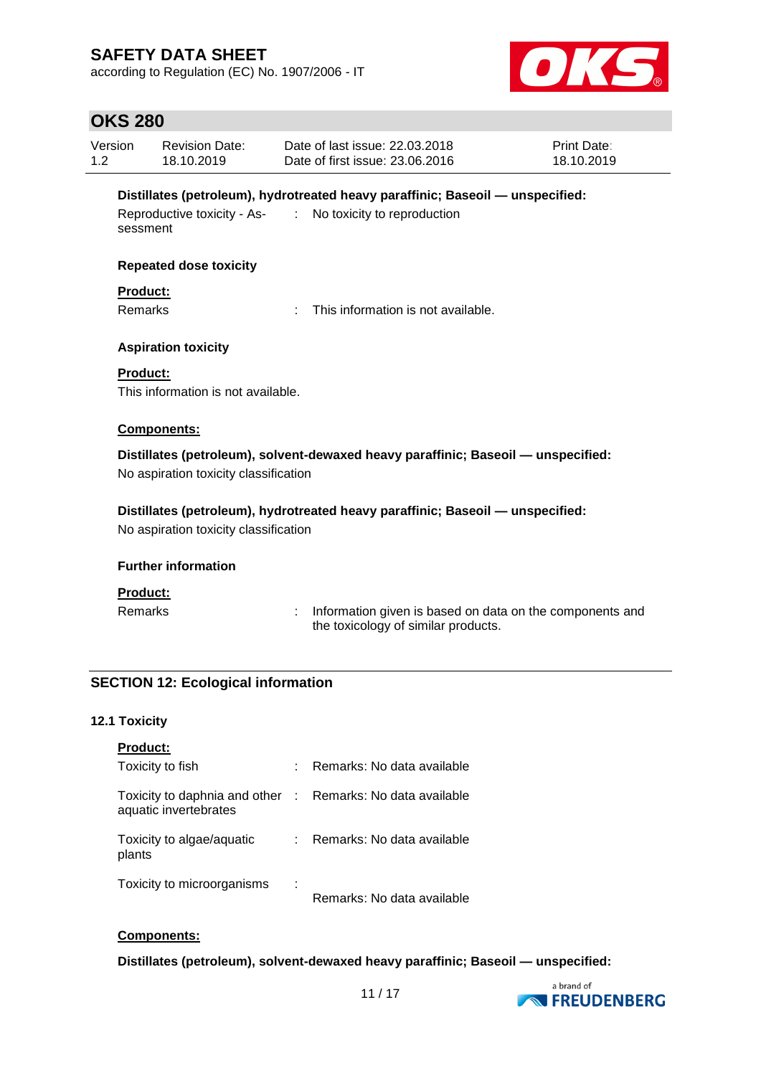according to Regulation (EC) No. 1907/2006 - IT



# **OKS 280**

| Version<br>1.2 |                                   | <b>Revision Date:</b><br>18.10.2019       |               | Date of last issue: 22.03.2018<br>Date of first issue: 23.06.2016                                             | Print Date:<br>18.10.2019 |
|----------------|-----------------------------------|-------------------------------------------|---------------|---------------------------------------------------------------------------------------------------------------|---------------------------|
|                | sessment                          | Reproductive toxicity - As-               | $\mathcal{L}$ | Distillates (petroleum), hydrotreated heavy paraffinic; Baseoil - unspecified:<br>No toxicity to reproduction |                           |
|                |                                   | <b>Repeated dose toxicity</b>             |               |                                                                                                               |                           |
|                | <b>Product:</b><br><b>Remarks</b> |                                           |               | This information is not available.                                                                            |                           |
|                |                                   | <b>Aspiration toxicity</b>                |               |                                                                                                               |                           |
|                | <b>Product:</b>                   | This information is not available.        |               |                                                                                                               |                           |
|                |                                   | Components:                               |               |                                                                                                               |                           |
|                |                                   | No aspiration toxicity classification     |               | Distillates (petroleum), solvent-dewaxed heavy paraffinic; Baseoil - unspecified:                             |                           |
|                |                                   | No aspiration toxicity classification     |               | Distillates (petroleum), hydrotreated heavy paraffinic; Baseoil - unspecified:                                |                           |
|                |                                   | <b>Further information</b>                |               |                                                                                                               |                           |
|                | <b>Product:</b><br><b>Remarks</b> |                                           | ÷             | Information given is based on data on the components and<br>the toxicology of similar products.               |                           |
|                |                                   | <b>SECTION 12: Ecological information</b> |               |                                                                                                               |                           |
|                |                                   |                                           |               |                                                                                                               |                           |
|                | <b>12.1 Toxicity</b>              |                                           |               |                                                                                                               |                           |
|                | <b>Product:</b>                   |                                           |               |                                                                                                               |                           |

| Toxicity to fish                                       |   | Remarks: No data available   |
|--------------------------------------------------------|---|------------------------------|
| Toxicity to daphnia and other<br>aquatic invertebrates |   | : Remarks: No data available |
| Toxicity to algae/aquatic<br>plants                    |   | Remarks: No data available   |
| Toxicity to microorganisms                             | ÷ | Remarks: No data available   |

## **Components:**

**Distillates (petroleum), solvent-dewaxed heavy paraffinic; Baseoil — unspecified:**

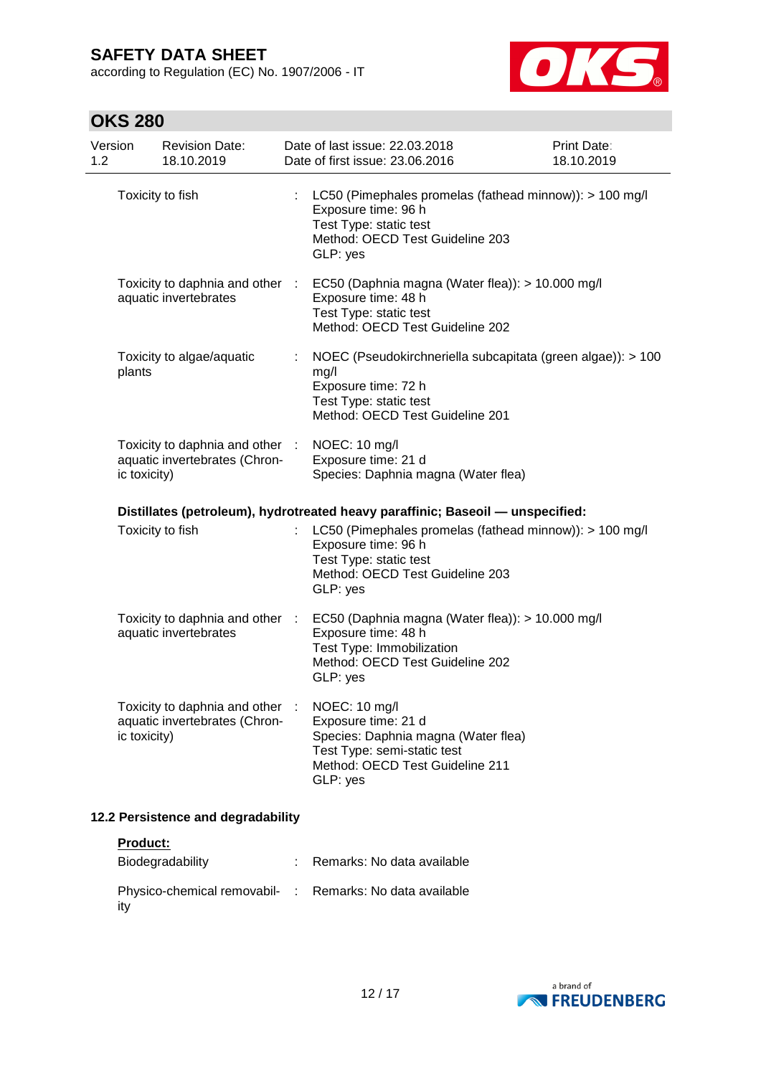according to Regulation (EC) No. 1907/2006 - IT



# **OKS 280**

| Version<br>1.2 | <b>Revision Date:</b><br>18.10.2019                              | Date of last issue: 22.03.2018<br>Date of first issue: 23.06.2016                                                                                                                   | Print Date:<br>18.10.2019 |
|----------------|------------------------------------------------------------------|-------------------------------------------------------------------------------------------------------------------------------------------------------------------------------------|---------------------------|
|                | Toxicity to fish                                                 | LC50 (Pimephales promelas (fathead minnow)): > 100 mg/l<br>Exposure time: 96 h<br>Test Type: static test<br>Method: OECD Test Guideline 203<br>GLP: yes                             |                           |
|                | aquatic invertebrates                                            | Toxicity to daphnia and other : EC50 (Daphnia magna (Water flea)): > 10.000 mg/l<br>Exposure time: 48 h<br>Test Type: static test<br>Method: OECD Test Guideline 202                |                           |
| plants         | Toxicity to algae/aquatic                                        | NOEC (Pseudokirchneriella subcapitata (green algae)): > 100<br>mg/l<br>Exposure time: 72 h<br>Test Type: static test<br>Method: OECD Test Guideline 201                             |                           |
| ic toxicity)   | Toxicity to daphnia and other :<br>aquatic invertebrates (Chron- | NOEC: 10 mg/l<br>Exposure time: 21 d<br>Species: Daphnia magna (Water flea)                                                                                                         |                           |
|                |                                                                  | Distillates (petroleum), hydrotreated heavy paraffinic; Baseoil — unspecified:                                                                                                      |                           |
|                | Toxicity to fish                                                 | LC50 (Pimephales promelas (fathead minnow)): > 100 mg/l<br>Exposure time: 96 h<br>Test Type: static test<br>Method: OECD Test Guideline 203<br>GLP: yes                             |                           |
|                | aquatic invertebrates                                            | Toxicity to daphnia and other : EC50 (Daphnia magna (Water flea)): > 10.000 mg/l<br>Exposure time: 48 h<br>Test Type: Immobilization<br>Method: OECD Test Guideline 202<br>GLP: yes |                           |
| ic toxicity)   | Toxicity to daphnia and other<br>aquatic invertebrates (Chron-   | NOEC: 10 mg/l<br>Exposure time: 21 d<br>Species: Daphnia magna (Water flea)<br>Test Type: semi-static test<br>Method: OECD Test Guideline 211<br>GLP: yes                           |                           |
|                | 12.2 Persistence and degradability                               |                                                                                                                                                                                     |                           |

## **Product:**

| Biodegradability                                                | : Remarks: No data available |
|-----------------------------------------------------------------|------------------------------|
| Physico-chemical removabil- : Remarks: No data available<br>ity |                              |

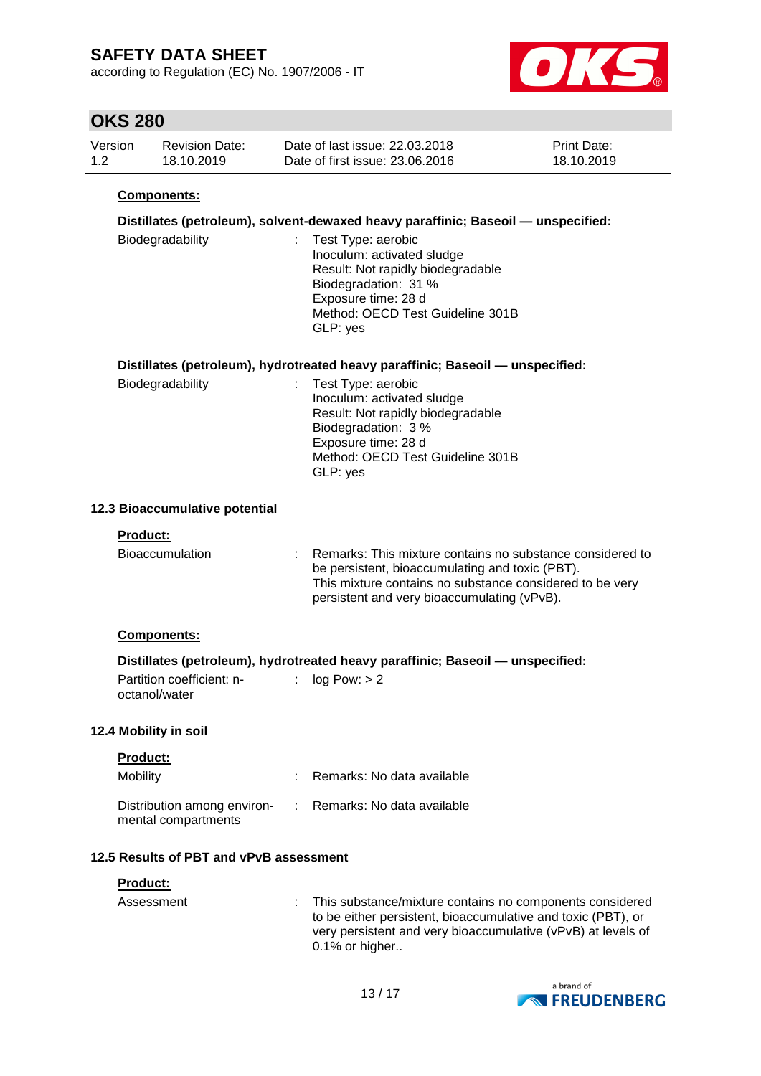according to Regulation (EC) No. 1907/2006 - IT



## **OKS 280**

| Version | <b>Revision Date:</b> | Date of last issue: 22.03.2018  | <b>Print Date:</b> |
|---------|-----------------------|---------------------------------|--------------------|
| 1.2     | 18.10.2019            | Date of first issue: 23,06,2016 | 18.10.2019         |

### **Components:**

### **Distillates (petroleum), solvent-dewaxed heavy paraffinic; Baseoil — unspecified:**

| Biodegradability | : Test Type: aerobic                         |
|------------------|----------------------------------------------|
|                  | Inoculum: activated sludge                   |
|                  | Result: Not rapidly biodegradable            |
|                  | Biodegradation: 31 %                         |
|                  | Exposure time: 28 d                          |
|                  | Method: OECD Test Guideline 301B<br>GLP: yes |
|                  |                                              |

### **Distillates (petroleum), hydrotreated heavy paraffinic; Baseoil — unspecified:**

| Biodegradability | : Test Type: aerobic<br>Inoculum: activated sludge |
|------------------|----------------------------------------------------|
|                  | Result: Not rapidly biodegradable                  |
|                  | Biodegradation: 3 %                                |
|                  | Exposure time: 28 d                                |
|                  | Method: OECD Test Guideline 301B                   |
|                  | GLP: yes                                           |

### **12.3 Bioaccumulative potential**

#### **Product:**

| <b>Bioaccumulation</b> | : Remarks: This mixture contains no substance considered to<br>be persistent, bioaccumulating and toxic (PBT).<br>This mixture contains no substance considered to be very<br>persistent and very bioaccumulating (vPvB). |
|------------------------|---------------------------------------------------------------------------------------------------------------------------------------------------------------------------------------------------------------------------|
|                        |                                                                                                                                                                                                                           |

#### **Components:**

### **Distillates (petroleum), hydrotreated heavy paraffinic; Baseoil — unspecified:**

| Partition coefficient: n- | : $log Pow: > 2$ |
|---------------------------|------------------|
| octanol/water             |                  |

### **12.4 Mobility in soil**

| Mobility                                           | Remarks: No data available   |
|----------------------------------------------------|------------------------------|
| Distribution among environ-<br>mental compartments | : Remarks: No data available |

### **12.5 Results of PBT and vPvB assessment**

| <b>Product:</b> |                                                                                                                                                                                                               |
|-----------------|---------------------------------------------------------------------------------------------------------------------------------------------------------------------------------------------------------------|
| Assessment      | This substance/mixture contains no components considered<br>to be either persistent, bioaccumulative and toxic (PBT), or<br>very persistent and very bioaccumulative (vPvB) at levels of<br>$0.1\%$ or higher |

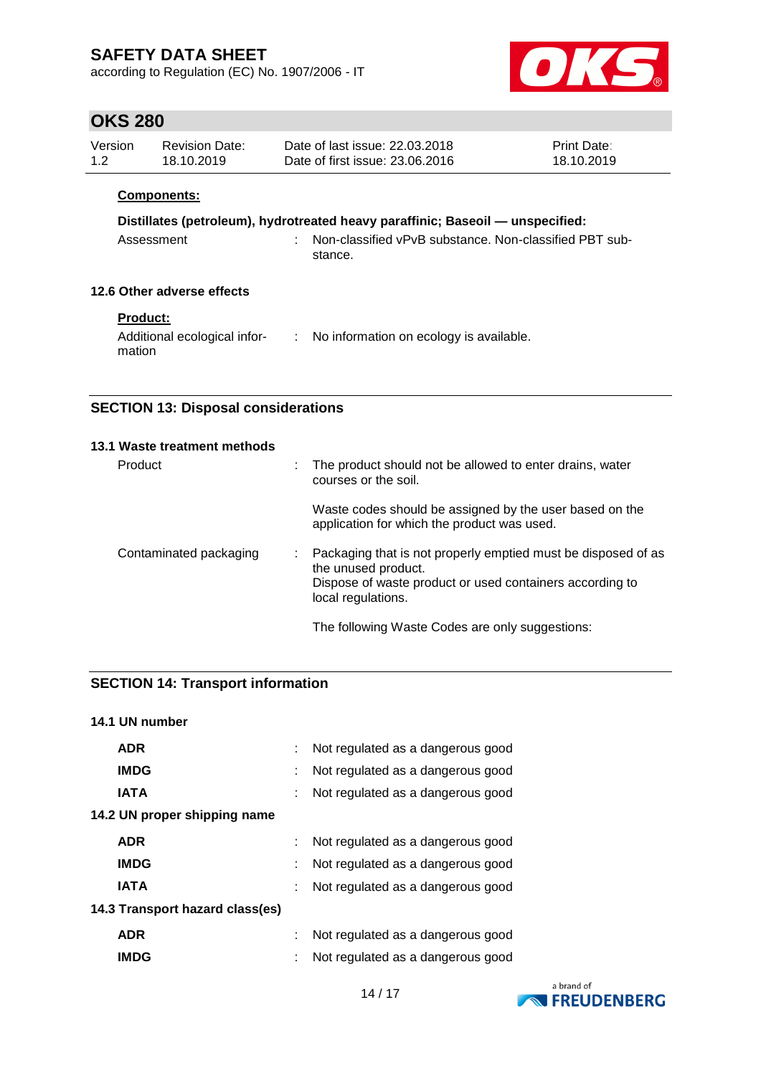according to Regulation (EC) No. 1907/2006 - IT



## **OKS 280**

| Version | Revision Date: | Date of last issue: 22.03.2018  | <b>Print Date:</b> |
|---------|----------------|---------------------------------|--------------------|
| 1.2     | 18.10.2019     | Date of first issue: 23.06.2016 | 18.10.2019         |
|         |                |                                 |                    |

### **Components:**

# **Distillates (petroleum), hydrotreated heavy paraffinic; Baseoil — unspecified:**

| Assessment | Non-classified vPvB substance. Non-classified PBT sub- |  |
|------------|--------------------------------------------------------|--|
|            | stance.                                                |  |

### **12.6 Other adverse effects**

### **Product:**

| Additional ecological infor- | No information on ecology is available. |
|------------------------------|-----------------------------------------|
| mation                       |                                         |

## **SECTION 13: Disposal considerations**

| 13.1 Waste treatment methods |    |                                                                                                                                                                        |
|------------------------------|----|------------------------------------------------------------------------------------------------------------------------------------------------------------------------|
| Product                      | ÷. | The product should not be allowed to enter drains, water<br>courses or the soil.                                                                                       |
|                              |    | Waste codes should be assigned by the user based on the<br>application for which the product was used.                                                                 |
| Contaminated packaging       |    | Packaging that is not properly emptied must be disposed of as<br>the unused product.<br>Dispose of waste product or used containers according to<br>local regulations. |
|                              |    | The following Waste Codes are only suggestions:                                                                                                                        |

## **SECTION 14: Transport information**

# 14 / 17 **14.1 UN number ADR** : Not regulated as a dangerous good **IMDG** : Not regulated as a dangerous good **IATA** : Not regulated as a dangerous good **14.2 UN proper shipping name ADR** : Not regulated as a dangerous good **IMDG** : Not regulated as a dangerous good **IATA** : Not regulated as a dangerous good **14.3 Transport hazard class(es) ADR** : Not regulated as a dangerous good **IMDG** : Not regulated as a dangerous good

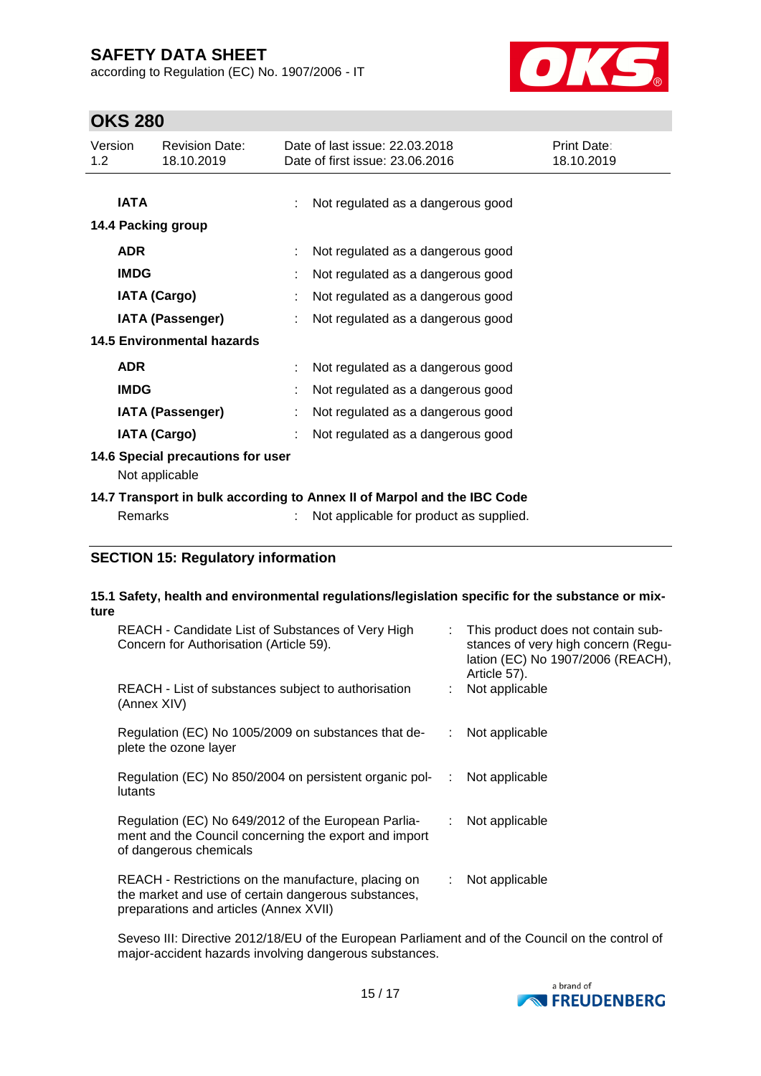according to Regulation (EC) No. 1907/2006 - IT



# **OKS 280**

| Version<br>1.2                                                          | <b>Revision Date:</b><br>18.10.2019 |  | Date of last issue: 22.03.2018<br>Date of first issue: 23.06.2016 | Print Date:<br>18.10.2019 |  |  |
|-------------------------------------------------------------------------|-------------------------------------|--|-------------------------------------------------------------------|---------------------------|--|--|
| <b>IATA</b>                                                             |                                     |  | Not regulated as a dangerous good                                 |                           |  |  |
|                                                                         | 14.4 Packing group                  |  |                                                                   |                           |  |  |
| <b>ADR</b>                                                              |                                     |  | Not regulated as a dangerous good                                 |                           |  |  |
| <b>IMDG</b>                                                             |                                     |  | Not regulated as a dangerous good                                 |                           |  |  |
|                                                                         | <b>IATA (Cargo)</b>                 |  | Not regulated as a dangerous good                                 |                           |  |  |
|                                                                         | IATA (Passenger)                    |  | Not regulated as a dangerous good                                 |                           |  |  |
| <b>14.5 Environmental hazards</b>                                       |                                     |  |                                                                   |                           |  |  |
| <b>ADR</b>                                                              |                                     |  | Not regulated as a dangerous good                                 |                           |  |  |
| <b>IMDG</b>                                                             |                                     |  | Not regulated as a dangerous good                                 |                           |  |  |
|                                                                         | <b>IATA (Passenger)</b>             |  | Not regulated as a dangerous good                                 |                           |  |  |
|                                                                         | <b>IATA (Cargo)</b>                 |  | Not regulated as a dangerous good                                 |                           |  |  |
| 14.6 Special precautions for user                                       |                                     |  |                                                                   |                           |  |  |
|                                                                         | Not applicable                      |  |                                                                   |                           |  |  |
| 14.7 Transport in bulk according to Annex II of Marpol and the IBC Code |                                     |  |                                                                   |                           |  |  |
|                                                                         | Remarks                             |  | Not applicable for product as supplied.                           |                           |  |  |

### **SECTION 15: Regulatory information**

### **15.1 Safety, health and environmental regulations/legislation specific for the substance or mixture**

| REACH - Candidate List of Substances of Very High<br>Concern for Authorisation (Article 59).                                                         |             | : This product does not contain sub-<br>stances of very high concern (Regu-<br>lation (EC) No 1907/2006 (REACH),<br>Article 57). |
|------------------------------------------------------------------------------------------------------------------------------------------------------|-------------|----------------------------------------------------------------------------------------------------------------------------------|
| REACH - List of substances subject to authorisation<br>(Annex XIV)                                                                                   |             | Not applicable                                                                                                                   |
| Regulation (EC) No 1005/2009 on substances that de-<br>plete the ozone layer                                                                         | ÷           | Not applicable                                                                                                                   |
| Regulation (EC) No 850/2004 on persistent organic pol-<br>lutants                                                                                    | ÷           | Not applicable                                                                                                                   |
| Regulation (EC) No 649/2012 of the European Parlia-<br>ment and the Council concerning the export and import<br>of dangerous chemicals               | $\sim 10^7$ | Not applicable                                                                                                                   |
| REACH - Restrictions on the manufacture, placing on<br>the market and use of certain dangerous substances,<br>preparations and articles (Annex XVII) |             | Not applicable                                                                                                                   |

Seveso III: Directive 2012/18/EU of the European Parliament and of the Council on the control of major-accident hazards involving dangerous substances.

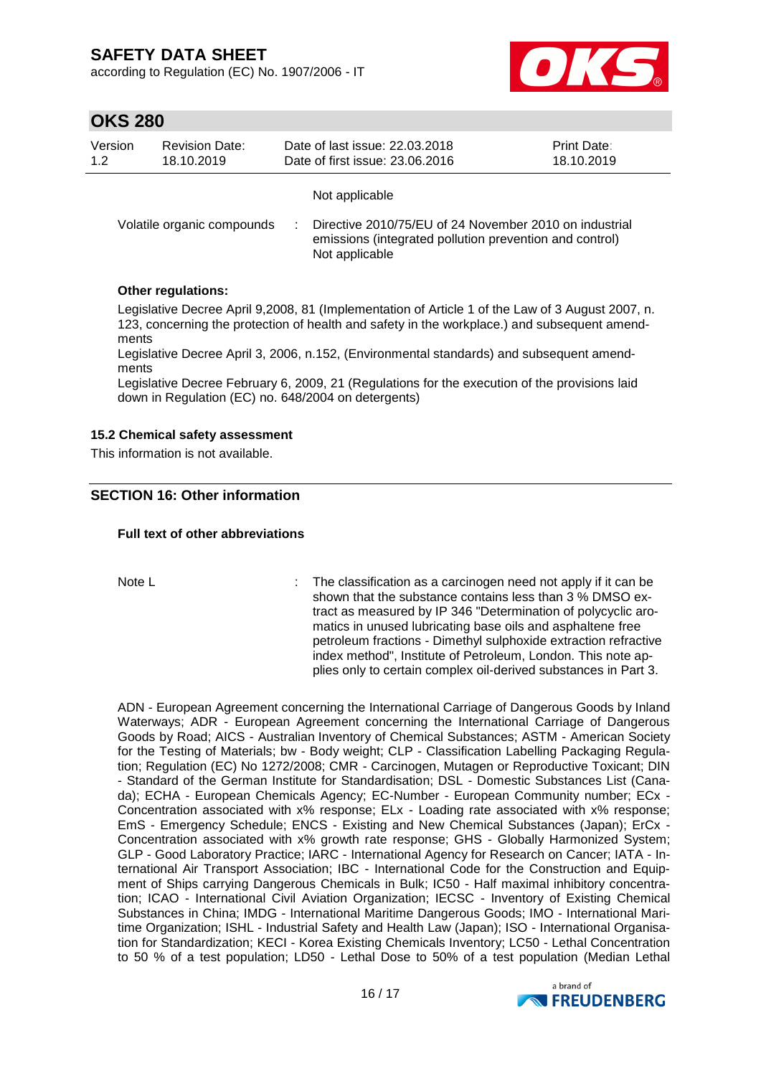according to Regulation (EC) No. 1907/2006 - IT



## **OKS 280**

| Version | <b>Revision Date:</b>      | Date of last issue: 22.03.2018                                                                                                                        | <b>Print Date:</b> |
|---------|----------------------------|-------------------------------------------------------------------------------------------------------------------------------------------------------|--------------------|
| 1.2     | 18.10.2019                 | Date of first issue: 23.06.2016                                                                                                                       | 18.10.2019         |
|         | Volatile organic compounds | Not applicable<br>Directive 2010/75/EU of 24 November 2010 on industrial<br>emissions (integrated pollution prevention and control)<br>Not applicable |                    |

### **Other regulations:**

Legislative Decree April 9,2008, 81 (Implementation of Article 1 of the Law of 3 August 2007, n. 123, concerning the protection of health and safety in the workplace.) and subsequent amendments

Legislative Decree April 3, 2006, n.152, (Environmental standards) and subsequent amendments

Legislative Decree February 6, 2009, 21 (Regulations for the execution of the provisions laid down in Regulation (EC) no. 648/2004 on detergents)

### **15.2 Chemical safety assessment**

This information is not available.

### **SECTION 16: Other information**

### **Full text of other abbreviations**

Note L **interpretent in the classification as a carcinogen need not apply if it can be** shown that the substance contains less than 3 % DMSO extract as measured by IP 346 "Determination of polycyclic aromatics in unused lubricating base oils and asphaltene free petroleum fractions - Dimethyl sulphoxide extraction refractive index method", Institute of Petroleum, London. This note applies only to certain complex oil-derived substances in Part 3.

ADN - European Agreement concerning the International Carriage of Dangerous Goods by Inland Waterways; ADR - European Agreement concerning the International Carriage of Dangerous Goods by Road; AICS - Australian Inventory of Chemical Substances; ASTM - American Society for the Testing of Materials; bw - Body weight; CLP - Classification Labelling Packaging Regulation; Regulation (EC) No 1272/2008; CMR - Carcinogen, Mutagen or Reproductive Toxicant; DIN - Standard of the German Institute for Standardisation; DSL - Domestic Substances List (Canada); ECHA - European Chemicals Agency; EC-Number - European Community number; ECx - Concentration associated with x% response; ELx - Loading rate associated with x% response; EmS - Emergency Schedule; ENCS - Existing and New Chemical Substances (Japan); ErCx - Concentration associated with x% growth rate response; GHS - Globally Harmonized System; GLP - Good Laboratory Practice; IARC - International Agency for Research on Cancer; IATA - International Air Transport Association; IBC - International Code for the Construction and Equipment of Ships carrying Dangerous Chemicals in Bulk; IC50 - Half maximal inhibitory concentration; ICAO - International Civil Aviation Organization; IECSC - Inventory of Existing Chemical Substances in China; IMDG - International Maritime Dangerous Goods; IMO - International Maritime Organization; ISHL - Industrial Safety and Health Law (Japan); ISO - International Organisation for Standardization; KECI - Korea Existing Chemicals Inventory; LC50 - Lethal Concentration to 50 % of a test population; LD50 - Lethal Dose to 50% of a test population (Median Lethal